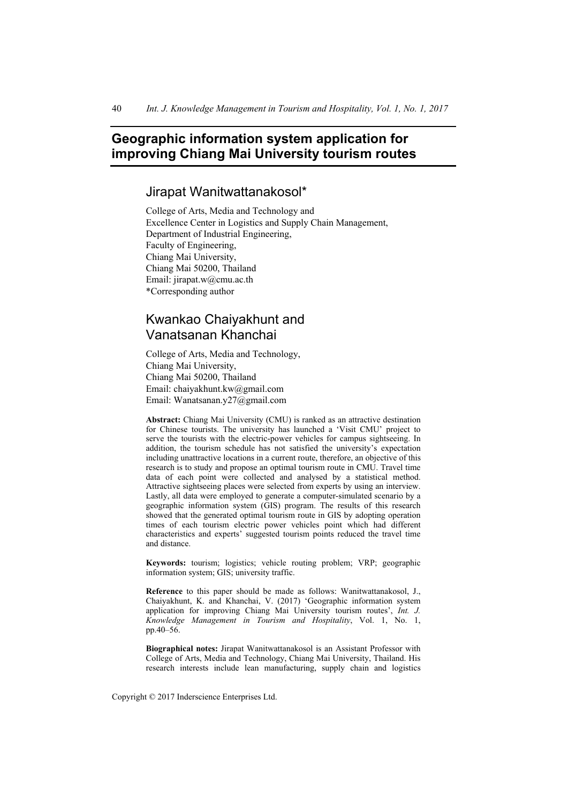# **Geographic information system application for improving Chiang Mai University tourism routes**

## Jirapat Wanitwattanakosol\*

College of Arts, Media and Technology and Excellence Center in Logistics and Supply Chain Management, Department of Industrial Engineering, Faculty of Engineering, Chiang Mai University, Chiang Mai 50200, Thailand Email: jirapat.w@cmu.ac.th \*Corresponding author

## Kwankao Chaiyakhunt and Vanatsanan Khanchai

College of Arts, Media and Technology, Chiang Mai University, Chiang Mai 50200, Thailand Email: chaiyakhunt.kw@gmail.com Email: Wanatsanan.y27@gmail.com

**Abstract:** Chiang Mai University (CMU) is ranked as an attractive destination for Chinese tourists. The university has launched a 'Visit CMU' project to serve the tourists with the electric-power vehicles for campus sightseeing. In addition, the tourism schedule has not satisfied the university's expectation including unattractive locations in a current route, therefore, an objective of this research is to study and propose an optimal tourism route in CMU. Travel time data of each point were collected and analysed by a statistical method. Attractive sightseeing places were selected from experts by using an interview. Lastly, all data were employed to generate a computer-simulated scenario by a geographic information system (GIS) program. The results of this research showed that the generated optimal tourism route in GIS by adopting operation times of each tourism electric power vehicles point which had different characteristics and experts' suggested tourism points reduced the travel time and distance.

**Keywords:** tourism; logistics; vehicle routing problem; VRP; geographic information system; GIS; university traffic.

**Reference** to this paper should be made as follows: Wanitwattanakosol, J., Chaiyakhunt, K. and Khanchai, V. (2017) 'Geographic information system application for improving Chiang Mai University tourism routes', *Int. J. Knowledge Management in Tourism and Hospitality*, Vol. 1, No. 1, pp.40–56.

**Biographical notes:** Jirapat Wanitwattanakosol is an Assistant Professor with College of Arts, Media and Technology, Chiang Mai University, Thailand. His research interests include lean manufacturing, supply chain and logistics

Copyright © 2017 Inderscience Enterprises Ltd.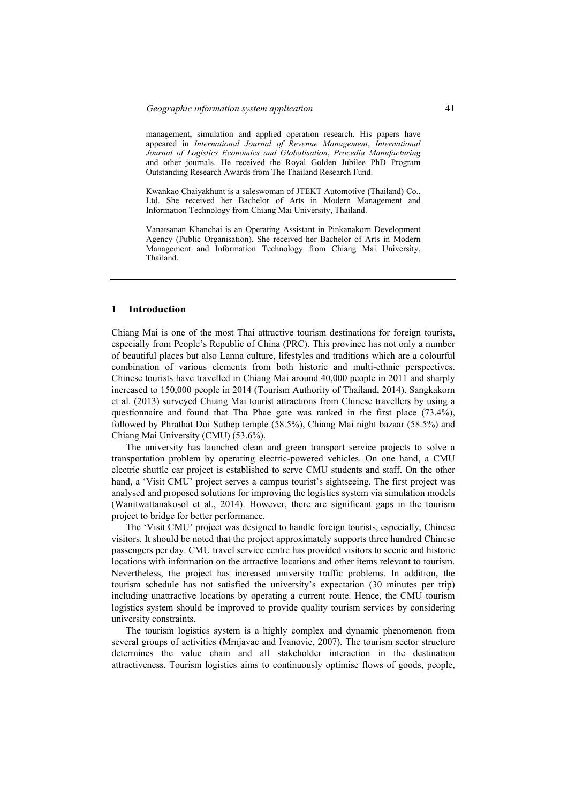#### *Geographic information system application* 41

management, simulation and applied operation research. His papers have appeared in *International Journal of Revenue Management*, *International Journal of Logistics Economics and Globalisation*, *Procedia Manufacturing* and other journals. He received the Royal Golden Jubilee PhD Program Outstanding Research Awards from The Thailand Research Fund.

Kwankao Chaiyakhunt is a saleswoman of JTEKT Automotive (Thailand) Co., Ltd. She received her Bachelor of Arts in Modern Management and Information Technology from Chiang Mai University, Thailand.

Vanatsanan Khanchai is an Operating Assistant in Pinkanakorn Development Agency (Public Organisation). She received her Bachelor of Arts in Modern Management and Information Technology from Chiang Mai University, Thailand.

#### **1 Introduction**

Chiang Mai is one of the most Thai attractive tourism destinations for foreign tourists, especially from People's Republic of China (PRC). This province has not only a number of beautiful places but also Lanna culture, lifestyles and traditions which are a colourful combination of various elements from both historic and multi-ethnic perspectives. Chinese tourists have travelled in Chiang Mai around 40,000 people in 2011 and sharply increased to 150,000 people in 2014 (Tourism Authority of Thailand, 2014). Sangkakorn et al. (2013) surveyed Chiang Mai tourist attractions from Chinese travellers by using a questionnaire and found that Tha Phae gate was ranked in the first place (73.4%), followed by Phrathat Doi Suthep temple (58.5%), Chiang Mai night bazaar (58.5%) and Chiang Mai University (CMU) (53.6%).

The university has launched clean and green transport service projects to solve a transportation problem by operating electric-powered vehicles. On one hand, a CMU electric shuttle car project is established to serve CMU students and staff. On the other hand, a 'Visit CMU' project serves a campus tourist's sightseeing. The first project was analysed and proposed solutions for improving the logistics system via simulation models (Wanitwattanakosol et al., 2014). However, there are significant gaps in the tourism project to bridge for better performance.

The 'Visit CMU' project was designed to handle foreign tourists, especially, Chinese visitors. It should be noted that the project approximately supports three hundred Chinese passengers per day. CMU travel service centre has provided visitors to scenic and historic locations with information on the attractive locations and other items relevant to tourism. Nevertheless, the project has increased university traffic problems. In addition, the tourism schedule has not satisfied the university's expectation (30 minutes per trip) including unattractive locations by operating a current route. Hence, the CMU tourism logistics system should be improved to provide quality tourism services by considering university constraints.

The tourism logistics system is a highly complex and dynamic phenomenon from several groups of activities (Mrnjavac and Ivanovic, 2007). The tourism sector structure determines the value chain and all stakeholder interaction in the destination attractiveness. Tourism logistics aims to continuously optimise flows of goods, people,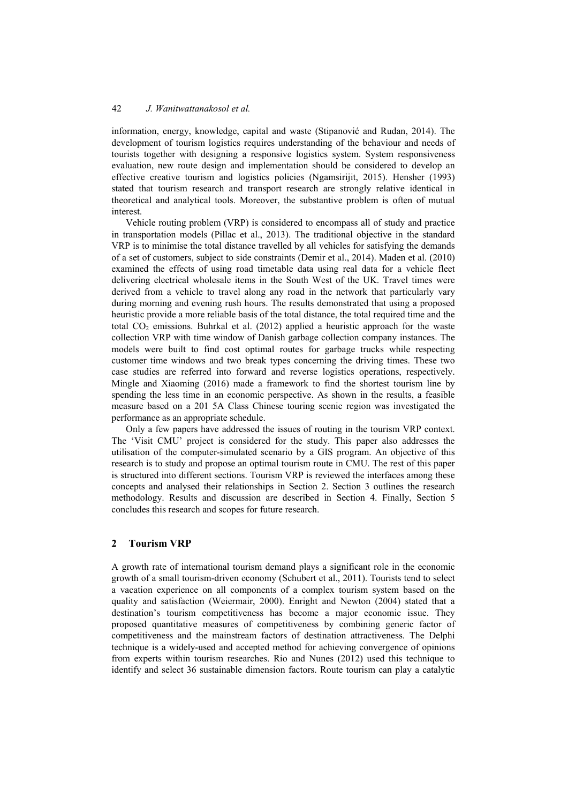information, energy, knowledge, capital and waste (Stipanović and Rudan, 2014). The development of tourism logistics requires understanding of the behaviour and needs of tourists together with designing a responsive logistics system. System responsiveness evaluation, new route design and implementation should be considered to develop an effective creative tourism and logistics policies (Ngamsirijit, 2015). Hensher (1993) stated that tourism research and transport research are strongly relative identical in theoretical and analytical tools. Moreover, the substantive problem is often of mutual interest.

Vehicle routing problem (VRP) is considered to encompass all of study and practice in transportation models (Pillac et al., 2013). The traditional objective in the standard VRP is to minimise the total distance travelled by all vehicles for satisfying the demands of a set of customers, subject to side constraints (Demir et al., 2014). Maden et al. (2010) examined the effects of using road timetable data using real data for a vehicle fleet delivering electrical wholesale items in the South West of the UK. Travel times were derived from a vehicle to travel along any road in the network that particularly vary during morning and evening rush hours. The results demonstrated that using a proposed heuristic provide a more reliable basis of the total distance, the total required time and the total  $CO<sub>2</sub>$  emissions. Buhrkal et al. (2012) applied a heuristic approach for the waste collection VRP with time window of Danish garbage collection company instances. The models were built to find cost optimal routes for garbage trucks while respecting customer time windows and two break types concerning the driving times. These two case studies are referred into forward and reverse logistics operations, respectively. Mingle and Xiaoming (2016) made a framework to find the shortest tourism line by spending the less time in an economic perspective. As shown in the results, a feasible measure based on a 201 5A Class Chinese touring scenic region was investigated the performance as an appropriate schedule.

Only a few papers have addressed the issues of routing in the tourism VRP context. The 'Visit CMU' project is considered for the study. This paper also addresses the utilisation of the computer-simulated scenario by a GIS program. An objective of this research is to study and propose an optimal tourism route in CMU. The rest of this paper is structured into different sections. Tourism VRP is reviewed the interfaces among these concepts and analysed their relationships in Section 2. Section 3 outlines the research methodology. Results and discussion are described in Section 4. Finally, Section 5 concludes this research and scopes for future research.

#### **2 Tourism VRP**

A growth rate of international tourism demand plays a significant role in the economic growth of a small tourism-driven economy (Schubert et al., 2011). Tourists tend to select a vacation experience on all components of a complex tourism system based on the quality and satisfaction (Weiermair, 2000). Enright and Newton (2004) stated that a destination's tourism competitiveness has become a major economic issue. They proposed quantitative measures of competitiveness by combining generic factor of competitiveness and the mainstream factors of destination attractiveness. The Delphi technique is a widely-used and accepted method for achieving convergence of opinions from experts within tourism researches. Rio and Nunes (2012) used this technique to identify and select 36 sustainable dimension factors. Route tourism can play a catalytic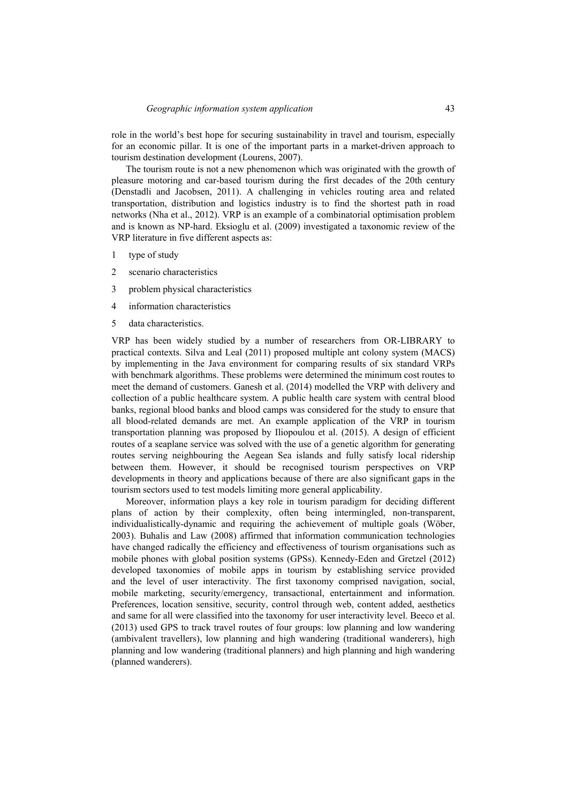role in the world's best hope for securing sustainability in travel and tourism, especially for an economic pillar. It is one of the important parts in a market-driven approach to tourism destination development (Lourens, 2007).

The tourism route is not a new phenomenon which was originated with the growth of pleasure motoring and car-based tourism during the first decades of the 20th century (Denstadli and Jacobsen, 2011). A challenging in vehicles routing area and related transportation, distribution and logistics industry is to find the shortest path in road networks (Nha et al., 2012). VRP is an example of a combinatorial optimisation problem and is known as NP-hard. Eksioglu et al. (2009) investigated a taxonomic review of the VRP literature in five different aspects as:

- 1 type of study
- 2 scenario characteristics
- 3 problem physical characteristics
- 4 information characteristics
- 5 data characteristics.

VRP has been widely studied by a number of researchers from OR-LIBRARY to practical contexts. Silva and Leal (2011) proposed multiple ant colony system (MACS) by implementing in the Java environment for comparing results of six standard VRPs with benchmark algorithms. These problems were determined the minimum cost routes to meet the demand of customers. Ganesh et al. (2014) modelled the VRP with delivery and collection of a public healthcare system. A public health care system with central blood banks, regional blood banks and blood camps was considered for the study to ensure that all blood-related demands are met. An example application of the VRP in tourism transportation planning was proposed by Iliopoulou et al. (2015). A design of efficient routes of a seaplane service was solved with the use of a genetic algorithm for generating routes serving neighbouring the Aegean Sea islands and fully satisfy local ridership between them. However, it should be recognised tourism perspectives on VRP developments in theory and applications because of there are also significant gaps in the tourism sectors used to test models limiting more general applicability.

Moreover, information plays a key role in tourism paradigm for deciding different plans of action by their complexity, often being intermingled, non-transparent, individualistically-dynamic and requiring the achievement of multiple goals (Wöber, 2003). Buhalis and Law (2008) affirmed that information communication technologies have changed radically the efficiency and effectiveness of tourism organisations such as mobile phones with global position systems (GPSs). Kennedy-Eden and Gretzel (2012) developed taxonomies of mobile apps in tourism by establishing service provided and the level of user interactivity. The first taxonomy comprised navigation, social, mobile marketing, security/emergency, transactional, entertainment and information. Preferences, location sensitive, security, control through web, content added, aesthetics and same for all were classified into the taxonomy for user interactivity level. Beeco et al. (2013) used GPS to track travel routes of four groups: low planning and low wandering (ambivalent travellers), low planning and high wandering (traditional wanderers), high planning and low wandering (traditional planners) and high planning and high wandering (planned wanderers).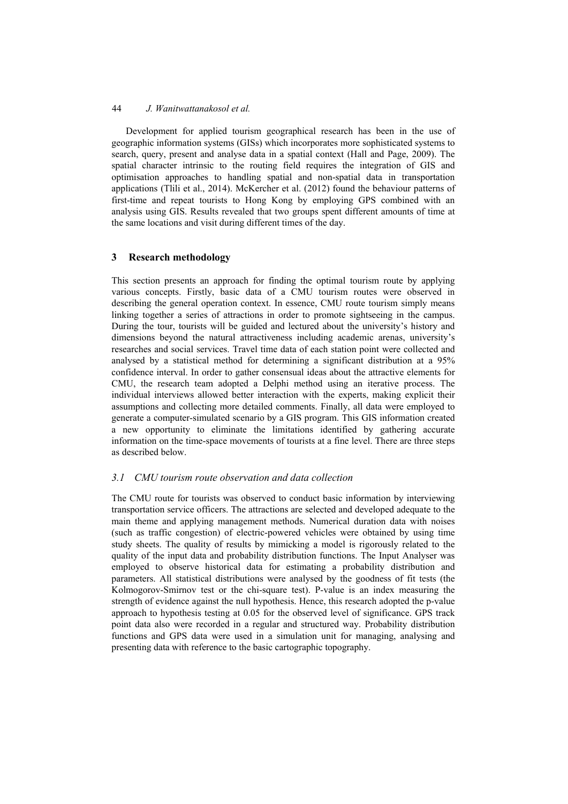Development for applied tourism geographical research has been in the use of geographic information systems (GISs) which incorporates more sophisticated systems to search, query, present and analyse data in a spatial context (Hall and Page, 2009). The spatial character intrinsic to the routing field requires the integration of GIS and optimisation approaches to handling spatial and non-spatial data in transportation applications (Tlili et al., 2014). McKercher et al. (2012) found the behaviour patterns of first-time and repeat tourists to Hong Kong by employing GPS combined with an analysis using GIS. Results revealed that two groups spent different amounts of time at the same locations and visit during different times of the day.

### **3 Research methodology**

This section presents an approach for finding the optimal tourism route by applying various concepts. Firstly, basic data of a CMU tourism routes were observed in describing the general operation context. In essence, CMU route tourism simply means linking together a series of attractions in order to promote sightseeing in the campus. During the tour, tourists will be guided and lectured about the university's history and dimensions beyond the natural attractiveness including academic arenas, university's researches and social services. Travel time data of each station point were collected and analysed by a statistical method for determining a significant distribution at a 95% confidence interval. In order to gather consensual ideas about the attractive elements for CMU, the research team adopted a Delphi method using an iterative process. The individual interviews allowed better interaction with the experts, making explicit their assumptions and collecting more detailed comments. Finally, all data were employed to generate a computer-simulated scenario by a GIS program. This GIS information created a new opportunity to eliminate the limitations identified by gathering accurate information on the time-space movements of tourists at a fine level. There are three steps as described below.

#### *3.1 CMU tourism route observation and data collection*

The CMU route for tourists was observed to conduct basic information by interviewing transportation service officers. The attractions are selected and developed adequate to the main theme and applying management methods. Numerical duration data with noises (such as traffic congestion) of electric-powered vehicles were obtained by using time study sheets. The quality of results by mimicking a model is rigorously related to the quality of the input data and probability distribution functions. The Input Analyser was employed to observe historical data for estimating a probability distribution and parameters. All statistical distributions were analysed by the goodness of fit tests (the Kolmogorov-Smirnov test or the chi-square test). P-value is an index measuring the strength of evidence against the null hypothesis. Hence, this research adopted the p-value approach to hypothesis testing at 0.05 for the observed level of significance. GPS track point data also were recorded in a regular and structured way. Probability distribution functions and GPS data were used in a simulation unit for managing, analysing and presenting data with reference to the basic cartographic topography.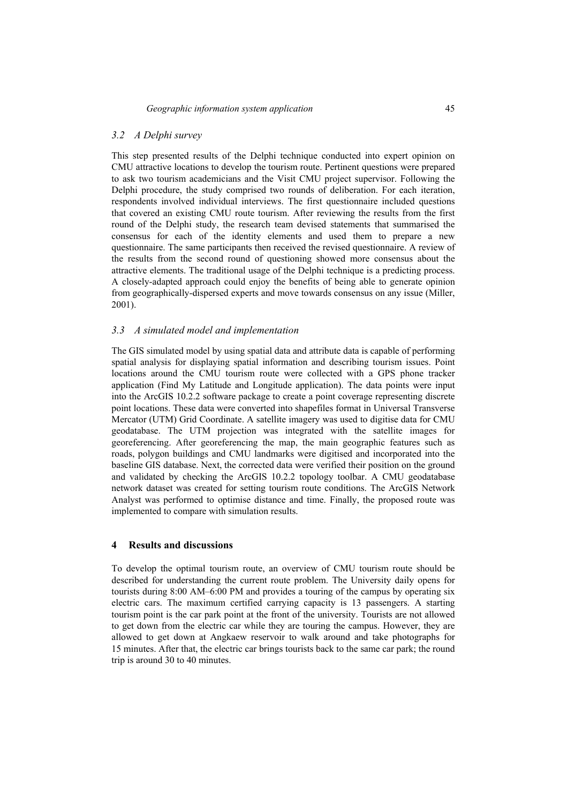#### *3.2 A Delphi survey*

This step presented results of the Delphi technique conducted into expert opinion on CMU attractive locations to develop the tourism route. Pertinent questions were prepared to ask two tourism academicians and the Visit CMU project supervisor. Following the Delphi procedure, the study comprised two rounds of deliberation. For each iteration, respondents involved individual interviews. The first questionnaire included questions that covered an existing CMU route tourism. After reviewing the results from the first round of the Delphi study, the research team devised statements that summarised the consensus for each of the identity elements and used them to prepare a new questionnaire. The same participants then received the revised questionnaire. A review of the results from the second round of questioning showed more consensus about the attractive elements. The traditional usage of the Delphi technique is a predicting process. A closely-adapted approach could enjoy the benefits of being able to generate opinion from geographically-dispersed experts and move towards consensus on any issue (Miller, 2001).

#### *3.3 A simulated model and implementation*

The GIS simulated model by using spatial data and attribute data is capable of performing spatial analysis for displaying spatial information and describing tourism issues. Point locations around the CMU tourism route were collected with a GPS phone tracker application (Find My Latitude and Longitude application). The data points were input into the ArcGIS 10.2.2 software package to create a point coverage representing discrete point locations. These data were converted into shapefiles format in Universal Transverse Mercator (UTM) Grid Coordinate. A satellite imagery was used to digitise data for CMU geodatabase. The UTM projection was integrated with the satellite images for georeferencing. After georeferencing the map, the main geographic features such as roads, polygon buildings and CMU landmarks were digitised and incorporated into the baseline GIS database. Next, the corrected data were verified their position on the ground and validated by checking the ArcGIS 10.2.2 topology toolbar. A CMU geodatabase network dataset was created for setting tourism route conditions. The ArcGIS Network Analyst was performed to optimise distance and time. Finally, the proposed route was implemented to compare with simulation results.

#### **4 Results and discussions**

To develop the optimal tourism route, an overview of CMU tourism route should be described for understanding the current route problem. The University daily opens for tourists during 8:00 AM–6:00 PM and provides a touring of the campus by operating six electric cars. The maximum certified carrying capacity is 13 passengers. A starting tourism point is the car park point at the front of the university. Tourists are not allowed to get down from the electric car while they are touring the campus. However, they are allowed to get down at Angkaew reservoir to walk around and take photographs for 15 minutes. After that, the electric car brings tourists back to the same car park; the round trip is around 30 to 40 minutes.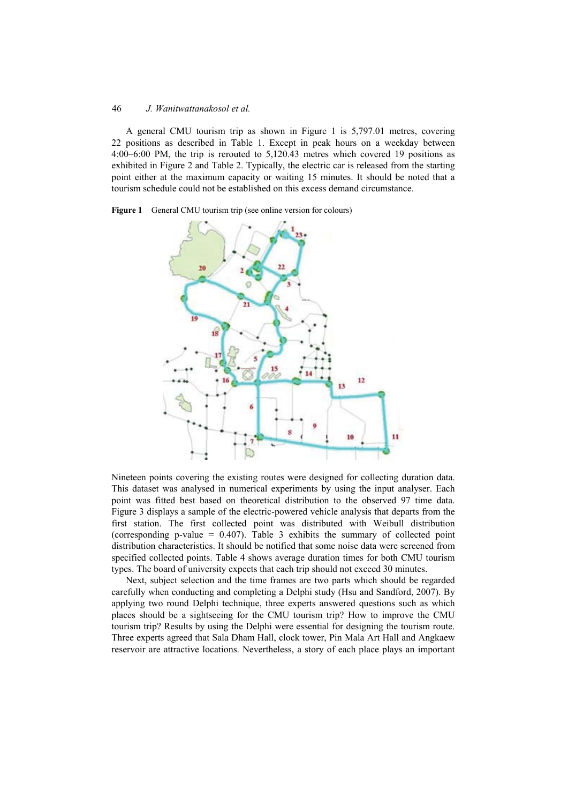A general CMU tourism trip as shown in Figure 1 is 5,797.01 metres, covering 22 positions as described in Table 1. Except in peak hours on a weekday between 4:00–6:00 PM, the trip is rerouted to 5,120.43 metres which covered 19 positions as exhibited in Figure 2 and Table 2. Typically, the electric car is released from the starting point either at the maximum capacity or waiting 15 minutes. It should be noted that a tourism schedule could not be established on this excess demand circumstance.

**Figure 1** General CMU tourism trip (see online version for colours)



Nineteen points covering the existing routes were designed for collecting duration data. This dataset was analysed in numerical experiments by using the input analyser. Each point was fitted best based on theoretical distribution to the observed 97 time data. Figure 3 displays a sample of the electric-powered vehicle analysis that departs from the first station. The first collected point was distributed with Weibull distribution (corresponding p-value =  $0.407$ ). Table 3 exhibits the summary of collected point distribution characteristics. It should be notified that some noise data were screened from specified collected points. Table 4 shows average duration times for both CMU tourism types. The board of university expects that each trip should not exceed 30 minutes.

Next, subject selection and the time frames are two parts which should be regarded carefully when conducting and completing a Delphi study (Hsu and Sandford, 2007). By applying two round Delphi technique, three experts answered questions such as which places should be a sightseeing for the CMU tourism trip? How to improve the CMU tourism trip? Results by using the Delphi were essential for designing the tourism route. Three experts agreed that Sala Dham Hall, clock tower, Pin Mala Art Hall and Angkaew reservoir are attractive locations. Nevertheless, a story of each place plays an important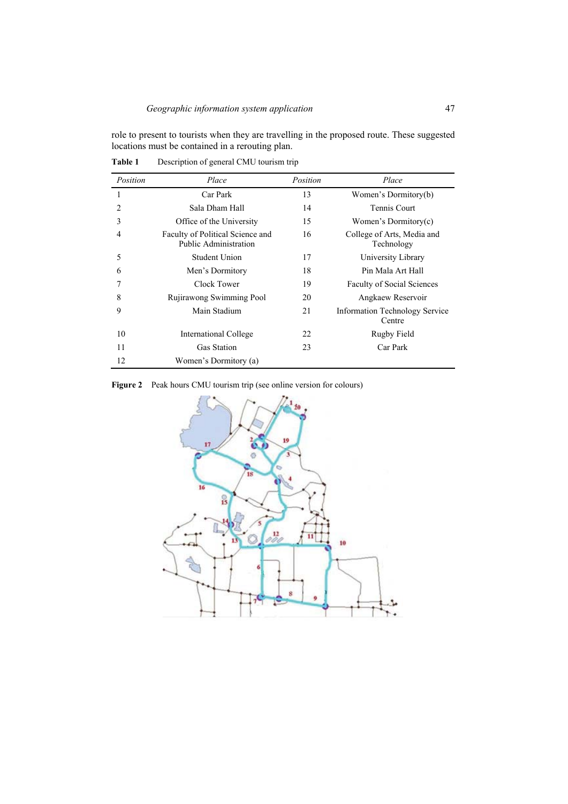role to present to tourists when they are travelling in the proposed route. These suggested locations must be contained in a rerouting plan.

| Position       | Place                                                     | Position | Place                                           |
|----------------|-----------------------------------------------------------|----------|-------------------------------------------------|
| 1              | Car Park                                                  | 13       | Women's Dormitory(b)                            |
| $\overline{2}$ | Sala Dham Hall                                            | 14       | Tennis Court                                    |
| 3              | Office of the University                                  | 15       | Women's Dormitory $(c)$                         |
| 4              | Faculty of Political Science and<br>Public Administration | 16       | College of Arts, Media and<br>Technology        |
| 5              | Student Union                                             | 17       | University Library                              |
| 6              | Men's Dormitory                                           | 18       | Pin Mala Art Hall                               |
| 7              | Clock Tower                                               | 19       | <b>Faculty of Social Sciences</b>               |
| 8              | Rujirawong Swimming Pool                                  | 20       | Angkaew Reservoir                               |
| 9              | Main Stadium                                              | 21       | <b>Information Technology Service</b><br>Centre |
| 10             | International College                                     | 22       | Rugby Field                                     |
| 11             | <b>Gas Station</b>                                        | 23       | Car Park                                        |
| 12             | Women's Dormitory (a)                                     |          |                                                 |

**Table 1** Description of general CMU tourism trip

Figure 2 Peak hours CMU tourism trip (see online version for colours)

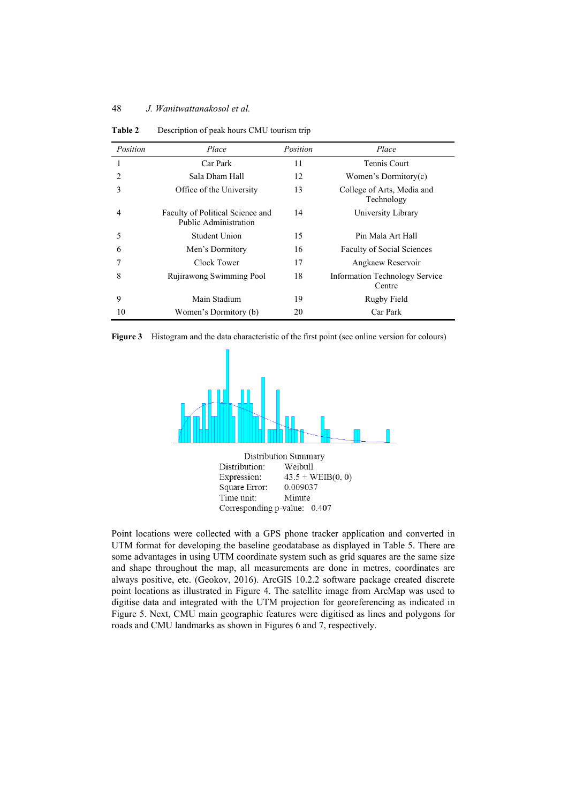| Position       | Place                                                     | Position | Place                                           |
|----------------|-----------------------------------------------------------|----------|-------------------------------------------------|
|                | Car Park                                                  | 11       | Tennis Court                                    |
| $\mathcal{L}$  | Sala Dham Hall                                            | 12       | Women's Dormitory $(c)$                         |
| 3              | Office of the University                                  | 13       | College of Arts, Media and<br>Technology        |
| $\overline{4}$ | Faculty of Political Science and<br>Public Administration | 14       | University Library                              |
| 5              | Student Union                                             | 15       | Pin Mala Art Hall                               |
| 6              | Men's Dormitory                                           | 16       | <b>Faculty of Social Sciences</b>               |
|                | Clock Tower                                               | 17       | Angkaew Reservoir                               |
| 8              | Rujirawong Swimming Pool                                  | 18       | <b>Information Technology Service</b><br>Centre |
| 9              | Main Stadium                                              | 19       | Rugby Field                                     |
| 10             | Women's Dormitory (b)                                     | 20       | Car Park                                        |

**Table 2** Description of peak hours CMU tourism trip

**Figure 3** Histogram and the data characteristic of the first point (see online version for colours)





Point locations were collected with a GPS phone tracker application and converted in UTM format for developing the baseline geodatabase as displayed in Table 5. There are some advantages in using UTM coordinate system such as grid squares are the same size and shape throughout the map, all measurements are done in metres, coordinates are always positive, etc. (Geokov, 2016). ArcGIS 10.2.2 software package created discrete point locations as illustrated in Figure 4. The satellite image from ArcMap was used to digitise data and integrated with the UTM projection for georeferencing as indicated in Figure 5. Next, CMU main geographic features were digitised as lines and polygons for roads and CMU landmarks as shown in Figures 6 and 7, respectively.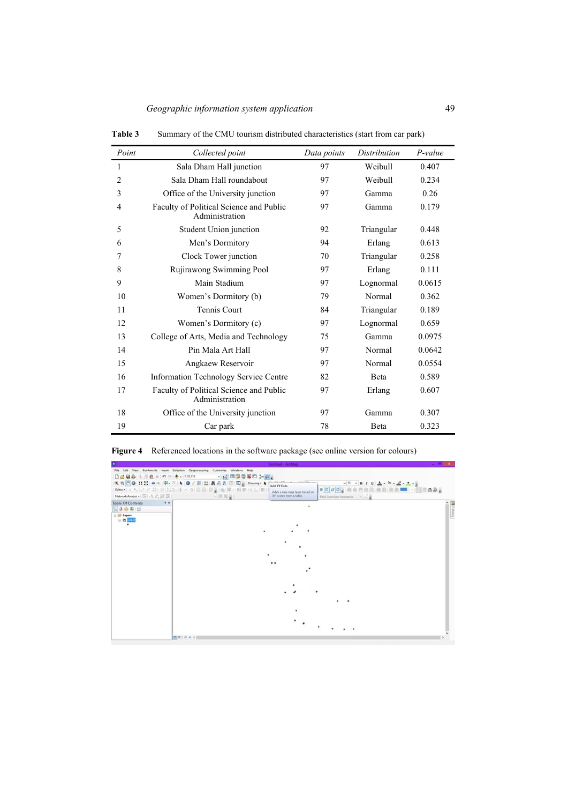| Point | Collected point                                           | Data points | Distribution | $P-value$ |
|-------|-----------------------------------------------------------|-------------|--------------|-----------|
| 1     | Sala Dham Hall junction                                   | 97          | Weibull      | 0.407     |
| 2     | Sala Dham Hall roundabout                                 | 97          | Weibull      | 0.234     |
| 3     | Office of the University junction                         | 97          | Gamma        | 0.26      |
| 4     | Faculty of Political Science and Public<br>Administration | 97          | Gamma        | 0.179     |
| 5     | Student Union junction                                    | 92          | Triangular   | 0.448     |
| 6     | Men's Dormitory                                           | 94          | Erlang       | 0.613     |
| 7     | Clock Tower junction                                      | 70          | Triangular   | 0.258     |
| 8     | Rujirawong Swimming Pool                                  | 97          | Erlang       | 0.111     |
| 9     | Main Stadium                                              | 97          | Lognormal    | 0.0615    |
| 10    | Women's Dormitory (b)                                     | 79          | Normal       | 0.362     |
| 11    | <b>Tennis Court</b>                                       | 84          | Triangular   | 0.189     |
| 12    | Women's Dormitory (c)                                     | 97          | Lognormal    | 0.659     |
| 13    | College of Arts, Media and Technology                     | 75          | Gamma        | 0.0975    |
| 14    | Pin Mala Art Hall                                         | 97          | Normal       | 0.0642    |
| 15    | Angkaew Reservoir                                         | 97          | Normal       | 0.0554    |
| 16    | <b>Information Technology Service Centre</b>              | 82          | <b>B</b> eta | 0.589     |
| 17    | Faculty of Political Science and Public<br>Administration | 97          | Erlang       | 0.607     |
| 18    | Office of the University junction                         | 97          | Gamma        | 0.307     |
| 19    | Car park                                                  | 78          | Beta         | 0.323     |

Table 3 Summary of the CMU tourism distributed characteristics (start from car park)

**Figure 4** Referenced locations in the software package (see online version for colours)

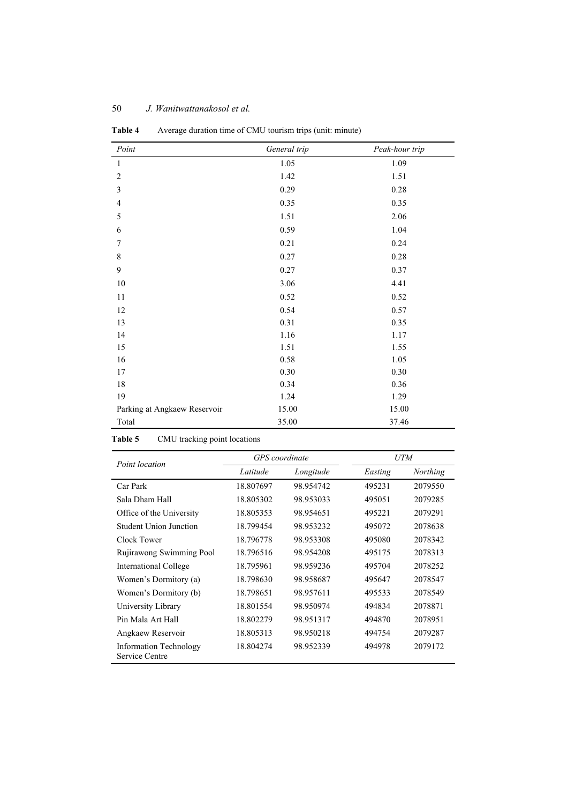| Point                        | General trip | Peak-hour trip |
|------------------------------|--------------|----------------|
| 1                            | 1.05         | 1.09           |
| $\overline{2}$               | 1.42         | 1.51           |
| 3                            | 0.29         | 0.28           |
| $\overline{4}$               | 0.35         | 0.35           |
| 5                            | 1.51         | 2.06           |
| 6                            | 0.59         | 1.04           |
| 7                            | 0.21         | 0.24           |
| 8                            | 0.27         | 0.28           |
| 9                            | 0.27         | 0.37           |
| $10\,$                       | 3.06         | 4.41           |
| $11\,$                       | 0.52         | 0.52           |
| 12                           | 0.54         | 0.57           |
| 13                           | 0.31         | 0.35           |
| 14                           | 1.16         | 1.17           |
| 15                           | 1.51         | 1.55           |
| 16                           | 0.58         | 1.05           |
| 17                           | 0.30         | 0.30           |
| 18                           | 0.34         | 0.36           |
| 19                           | 1.24         | 1.29           |
| Parking at Angkaew Reservoir | 15.00        | 15.00          |
| Total                        | 35.00        | 37.46          |

Table 4 Average duration time of CMU tourism trips (unit: minute)

### **Table 5** CMU tracking point locations

| Point location                                  | GPS coordinate |           |         | <b>UTM</b> |  |
|-------------------------------------------------|----------------|-----------|---------|------------|--|
|                                                 | Latitude       | Longitude | Easting | Northing   |  |
| Car Park                                        | 18.807697      | 98.954742 | 495231  | 2079550    |  |
| Sala Dham Hall                                  | 18.805302      | 98.953033 | 495051  | 2079285    |  |
| Office of the University                        | 18.805353      | 98.954651 | 495221  | 2079291    |  |
| Student Union Junction                          | 18.799454      | 98.953232 | 495072  | 2078638    |  |
| Clock Tower                                     | 18.796778      | 98.953308 | 495080  | 2078342    |  |
| Rujirawong Swimming Pool                        | 18.796516      | 98.954208 | 495175  | 2078313    |  |
| International College                           | 18.795961      | 98.959236 | 495704  | 2078252    |  |
| Women's Dormitory (a)                           | 18.798630      | 98.958687 | 495647  | 2078547    |  |
| Women's Dormitory (b)                           | 18.798651      | 98.957611 | 495533  | 2078549    |  |
| University Library                              | 18.801554      | 98.950974 | 494834  | 2078871    |  |
| Pin Mala Art Hall                               | 18.802279      | 98.951317 | 494870  | 2078951    |  |
| Angkaew Reservoir                               | 18.805313      | 98.950218 | 494754  | 2079287    |  |
| <b>Information Technology</b><br>Service Centre | 18.804274      | 98.952339 | 494978  | 2079172    |  |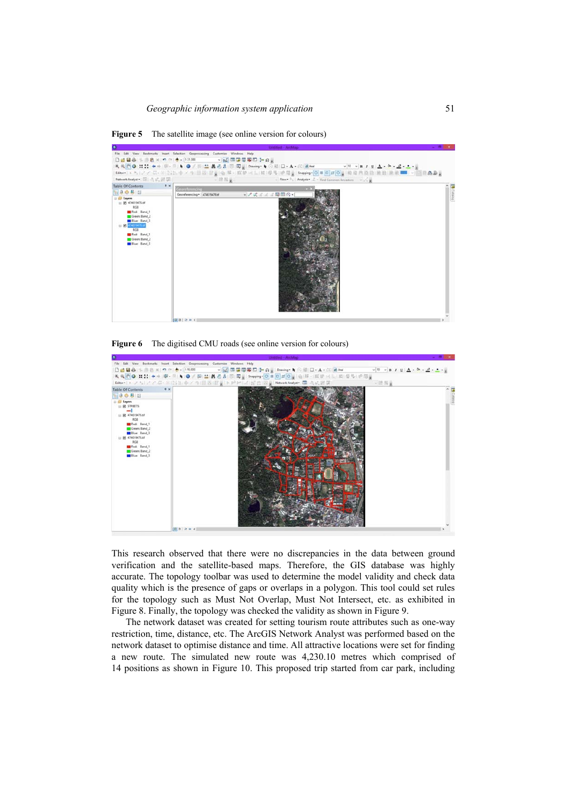

**Figure 5** The satellite image (see online version for colours)

Figure 6 The digitised CMU roads (see online version for colours)



This research observed that there were no discrepancies in the data between ground verification and the satellite-based maps. Therefore, the GIS database was highly accurate. The topology toolbar was used to determine the model validity and check data quality which is the presence of gaps or overlaps in a polygon. This tool could set rules for the topology such as Must Not Overlap, Must Not Intersect, etc. as exhibited in Figure 8. Finally, the topology was checked the validity as shown in Figure 9.

The network dataset was created for setting tourism route attributes such as one-way restriction, time, distance, etc. The ArcGIS Network Analyst was performed based on the network dataset to optimise distance and time. All attractive locations were set for finding a new route. The simulated new route was 4,230.10 metres which comprised of 14 positions as shown in Figure 10. This proposed trip started from car park, including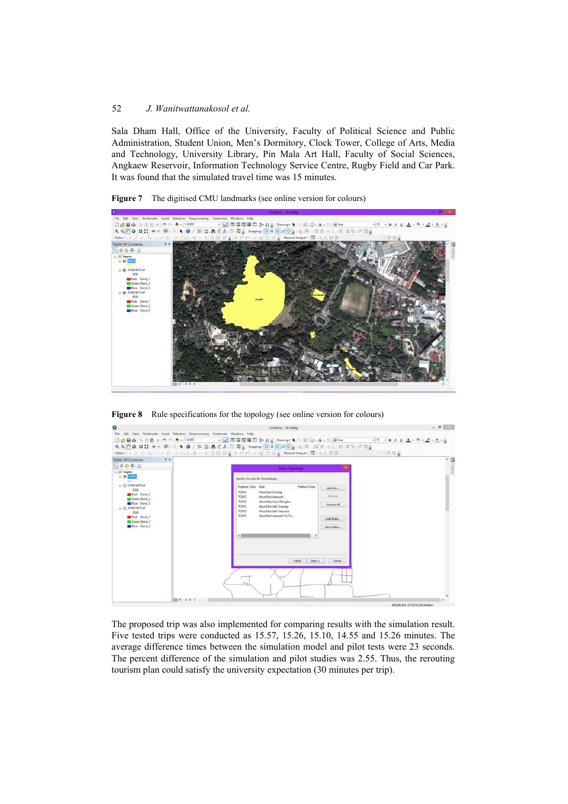Sala Dham Hall, Office of the University, Faculty of Political Science and Public Administration, Student Union, Men's Dormitory, Clock Tower, College of Arts, Media and Technology, University Library, Pin Mala Art Hall, Faculty of Social Sciences, Angkaew Reservoir, Information Technology Service Centre, Rugby Field and Car Park. It was found that the simulated travel time was 15 minutes.

Figure 7 The digitised CMU landmarks (see online version for colours)





Figure 8 Rule specifications for the topology (see online version for colours)

The proposed trip was also implemented for comparing results with the simulation result. Five tested trips were conducted as 15.57, 15.26, 15.10, 14.55 and 15.26 minutes. The average difference times between the simulation model and pilot tests were 23 seconds. The percent difference of the simulation and pilot studies was 2.55. Thus, the rerouting tourism plan could satisfy the university expectation (30 minutes per trip).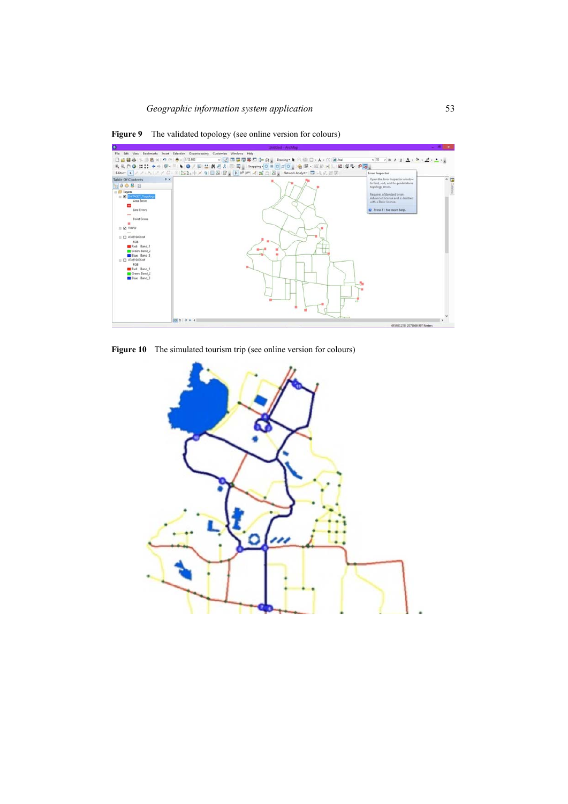

Figure 9 The validated topology (see online version for colours)

Figure 10 The simulated tourism trip (see online version for colours)

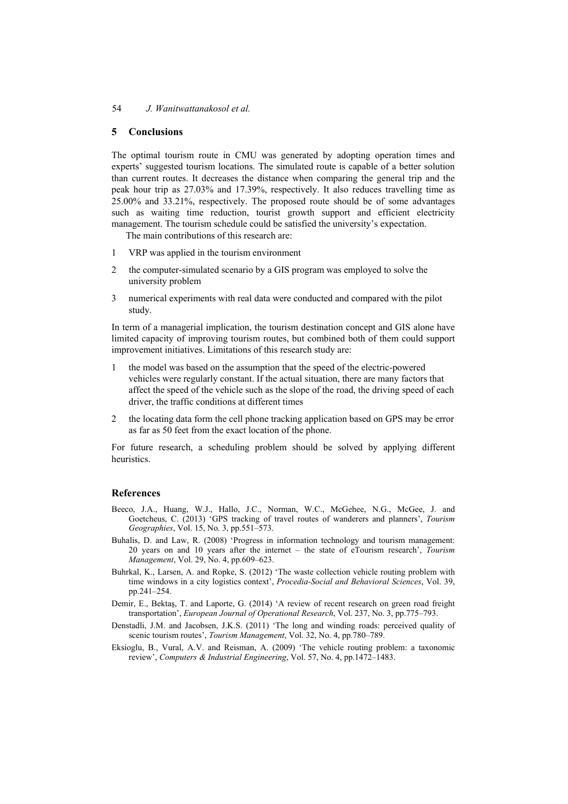#### **5 Conclusions**

The optimal tourism route in CMU was generated by adopting operation times and experts' suggested tourism locations. The simulated route is capable of a better solution than current routes. It decreases the distance when comparing the general trip and the peak hour trip as 27.03% and 17.39%, respectively. It also reduces travelling time as 25.00% and 33.21%, respectively. The proposed route should be of some advantages such as waiting time reduction, tourist growth support and efficient electricity management. The tourism schedule could be satisfied the university's expectation.

The main contributions of this research are:

- 1 VRP was applied in the tourism environment
- 2 the computer-simulated scenario by a GIS program was employed to solve the university problem
- 3 numerical experiments with real data were conducted and compared with the pilot study.

In term of a managerial implication, the tourism destination concept and GIS alone have limited capacity of improving tourism routes, but combined both of them could support improvement initiatives. Limitations of this research study are:

- the model was based on the assumption that the speed of the electric-powered vehicles were regularly constant. If the actual situation, there are many factors that affect the speed of the vehicle such as the slope of the road, the driving speed of each driver, the traffic conditions at different times
- 2 the locating data form the cell phone tracking application based on GPS may be error as far as 50 feet from the exact location of the phone.

For future research, a scheduling problem should be solved by applying different heuristics.

#### **References**

- Beeco, J.A., Huang, W.J., Hallo, J.C., Norman, W.C., McGehee, N.G., McGee, J. and Goetcheus, C. (2013) 'GPS tracking of travel routes of wanderers and planners', *Tourism Geographies*, Vol. 15, No. 3, pp.551–573.
- Buhalis, D. and Law, R. (2008) 'Progress in information technology and tourism management: 20 years on and 10 years after the internet – the state of eTourism research', *Tourism Management*, Vol. 29, No. 4, pp.609–623.
- Buhrkal, K., Larsen, A. and Ropke, S. (2012) 'The waste collection vehicle routing problem with time windows in a city logistics context', *Procedia-Social and Behavioral Sciences*, Vol. 39, pp.241–254.
- Demir, E., Bektaş, T. and Laporte, G. (2014) 'A review of recent research on green road freight transportation', *European Journal of Operational Research*, Vol. 237, No. 3, pp.775–793.
- Denstadli, J.M. and Jacobsen, J.K.S. (2011) 'The long and winding roads: perceived quality of scenic tourism routes', *Tourism Management*, Vol. 32, No. 4, pp.780–789.
- Eksioglu, B., Vural, A.V. and Reisman, A. (2009) 'The vehicle routing problem: a taxonomic review', *Computers & Industrial Engineering*, Vol. 57, No. 4, pp.1472–1483.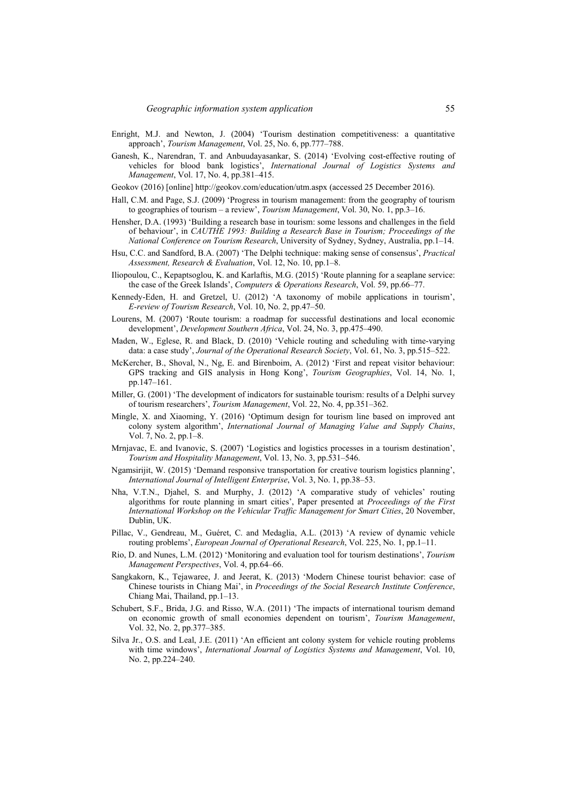- Enright, M.J. and Newton, J. (2004) 'Tourism destination competitiveness: a quantitative approach', *Tourism Management*, Vol. 25, No. 6, pp.777–788.
- Ganesh, K., Narendran, T. and Anbuudayasankar, S. (2014) 'Evolving cost-effective routing of vehicles for blood bank logistics', *International Journal of Logistics Systems and Management*, Vol. 17, No. 4, pp.381–415.
- Geokov (2016) [online] http://geokov.com/education/utm.aspx (accessed 25 December 2016).
- Hall, C.M. and Page, S.J. (2009) 'Progress in tourism management: from the geography of tourism to geographies of tourism – a review', *Tourism Management*, Vol. 30, No. 1, pp.3–16.
- Hensher, D.A. (1993) 'Building a research base in tourism: some lessons and challenges in the field of behaviour', in *CAUTHE 1993: Building a Research Base in Tourism; Proceedings of the National Conference on Tourism Research*, University of Sydney, Sydney, Australia, pp.1–14.
- Hsu, C.C. and Sandford, B.A. (2007) 'The Delphi technique: making sense of consensus', *Practical Assessment, Research & Evaluation*, Vol. 12, No. 10, pp.1–8.
- Iliopoulou, C., Kepaptsoglou, K. and Karlaftis, M.G. (2015) 'Route planning for a seaplane service: the case of the Greek Islands', *Computers & Operations Research*, Vol. 59, pp.66–77.
- Kennedy-Eden, H. and Gretzel, U. (2012) 'A taxonomy of mobile applications in tourism', *E-review of Tourism Research*, Vol. 10, No. 2, pp.47–50.
- Lourens, M. (2007) 'Route tourism: a roadmap for successful destinations and local economic development', *Development Southern Africa*, Vol. 24, No. 3, pp.475–490.
- Maden, W., Eglese, R. and Black, D. (2010) 'Vehicle routing and scheduling with time-varying data: a case study', *Journal of the Operational Research Society*, Vol. 61, No. 3, pp.515–522.
- McKercher, B., Shoval, N., Ng, E. and Birenboim, A. (2012) 'First and repeat visitor behaviour: GPS tracking and GIS analysis in Hong Kong', *Tourism Geographies*, Vol. 14, No. 1, pp.147–161.
- Miller, G. (2001) 'The development of indicators for sustainable tourism: results of a Delphi survey of tourism researchers', *Tourism Management*, Vol. 22, No. 4, pp.351–362.
- Mingle, X. and Xiaoming, Y. (2016) 'Optimum design for tourism line based on improved ant colony system algorithm', *International Journal of Managing Value and Supply Chains*, Vol. 7, No. 2, pp.1–8.
- Mrnjavac, E. and Ivanovic, S. (2007) 'Logistics and logistics processes in a tourism destination', *Tourism and Hospitality Management*, Vol. 13, No. 3, pp.531–546.
- Ngamsirijit, W. (2015) 'Demand responsive transportation for creative tourism logistics planning', *International Journal of Intelligent Enterprise*, Vol. 3, No. 1, pp.38–53.
- Nha, V.T.N., Djahel, S. and Murphy, J. (2012) 'A comparative study of vehicles' routing algorithms for route planning in smart cities', Paper presented at *Proceedings of the First International Workshop on the Vehicular Traffic Management for Smart Cities*, 20 November, Dublin, UK.
- Pillac, V., Gendreau, M., Guéret, C. and Medaglia, A.L. (2013) 'A review of dynamic vehicle routing problems', *European Journal of Operational Research*, Vol. 225, No. 1, pp.1–11.
- Rio, D. and Nunes, L.M. (2012) 'Monitoring and evaluation tool for tourism destinations', *Tourism Management Perspectives*, Vol. 4, pp.64–66.
- Sangkakorn, K., Tejawaree, J. and Jeerat, K. (2013) 'Modern Chinese tourist behavior: case of Chinese tourists in Chiang Mai', in *Proceedings of the Social Research Institute Conference*, Chiang Mai, Thailand, pp.1–13.
- Schubert, S.F., Brida, J.G. and Risso, W.A. (2011) 'The impacts of international tourism demand on economic growth of small economies dependent on tourism', *Tourism Management*, Vol. 32, No. 2, pp.377–385.
- Silva Jr., O.S. and Leal, J.E. (2011) 'An efficient ant colony system for vehicle routing problems with time windows', *International Journal of Logistics Systems and Management*, Vol. 10, No. 2, pp.224–240.